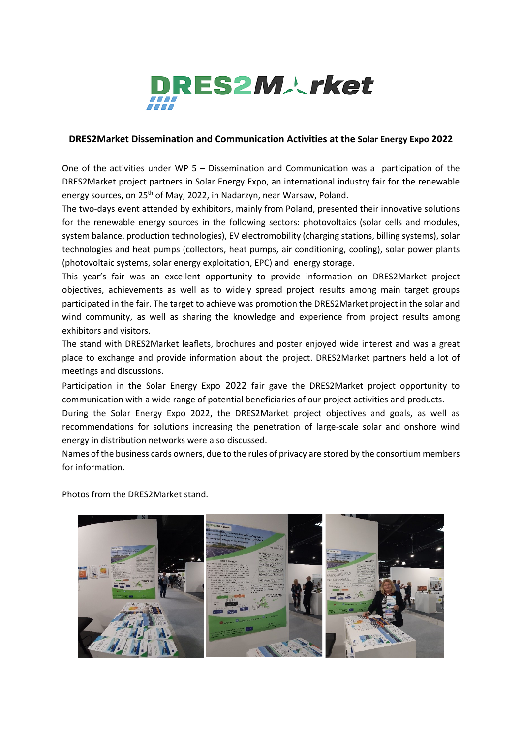

## **DRES2Market Dissemination and Communication Activities at the Solar Energy Expo 2022**

One of the activities under WP 5 – Dissemination and Communication was a participation of the DRES2Market project partners in Solar Energy Expo, an international industry fair for the renewable energy sources, on 25<sup>th</sup> of May, 2022, in Nadarzyn, near Warsaw, Poland.

The two-days event attended by exhibitors, mainly from Poland, presented their innovative solutions for the renewable energy sources in the following sectors: photovoltaics (solar cells and modules, system balance, production technologies), EV electromobility (charging stations, billing systems), solar technologies and heat pumps (collectors, heat pumps, air conditioning, cooling), solar power plants (photovoltaic systems, solar energy exploitation, EPC) and energy storage.

This year's fair was an excellent opportunity to provide information on DRES2Market project objectives, achievements as well as to widely spread project results among main target groups participated in the fair. The target to achieve was promotion the DRES2Market project in the solar and wind community, as well as sharing the knowledge and experience from project results among exhibitors and visitors.

The stand with DRES2Market leaflets, brochures and poster enjoyed wide interest and was a great place to exchange and provide information about the project. DRES2Market partners held a lot of meetings and discussions.

Participation in the Solar Energy Expo 2022 fair gave the DRES2Market project opportunity to communication with a wide range of potential beneficiaries of our project activities and products.

During the Solar Energy Expo 2022, the DRES2Market project objectives and goals, as well as recommendations for solutions increasing the penetration of large-scale solar and onshore wind energy in distribution networks were also discussed.

Names of the business cards owners, due to the rules of privacy are stored by the consortium members for information.

Photos from the DRES2Market stand.